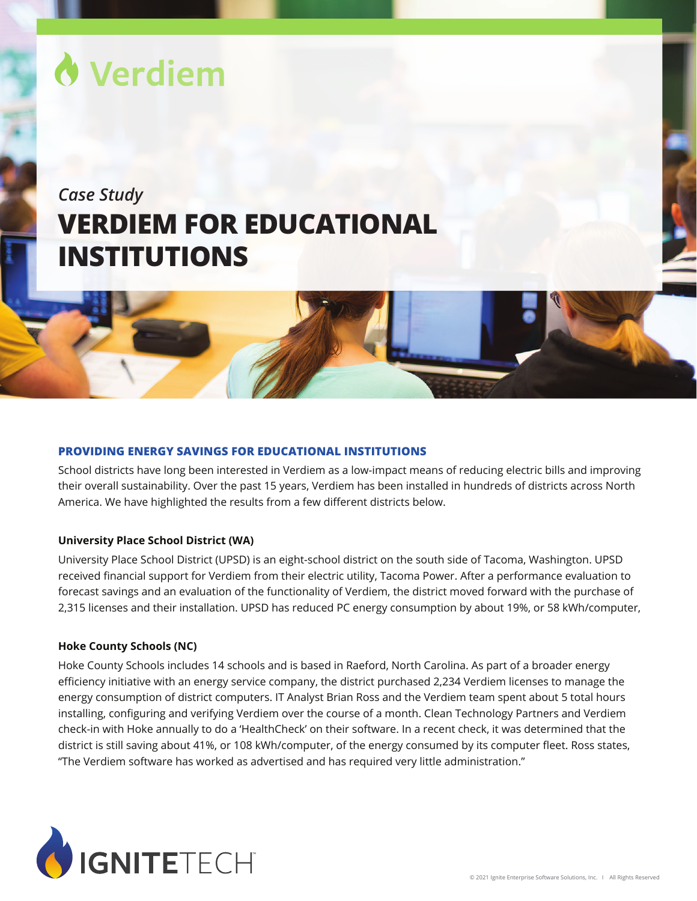

# *Case Study* **VERDIEM FOR EDUCATIONAL INSTITUTIONS**

# **PROVIDING ENERGY SAVINGS FOR EDUCATIONAL INSTITUTIONS**

School districts have long been interested in Verdiem as a low-impact means of reducing electric bills and improving their overall sustainability. Over the past 15 years, Verdiem has been installed in hundreds of districts across North America. We have highlighted the results from a few different districts below.

## **University Place School District (WA)**

University Place School District (UPSD) is an eight-school district on the south side of Tacoma, Washington. UPSD received financial support for Verdiem from their electric utility, Tacoma Power. After a performance evaluation to forecast savings and an evaluation of the functionality of Verdiem, the district moved forward with the purchase of 2,315 licenses and their installation. UPSD has reduced PC energy consumption by about 19%, or 58 kWh/computer,

#### **Hoke County Schools (NC)**

Hoke County Schools includes 14 schools and is based in Raeford, North Carolina. As part of a broader energy efficiency initiative with an energy service company, the district purchased 2,234 Verdiem licenses to manage the energy consumption of district computers. IT Analyst Brian Ross and the Verdiem team spent about 5 total hours installing, configuring and verifying Verdiem over the course of a month. Clean Technology Partners and Verdiem check-in with Hoke annually to do a 'HealthCheck' on their software. In a recent check, it was determined that the district is still saving about 41%, or 108 kWh/computer, of the energy consumed by its computer fleet. Ross states, "The Verdiem software has worked as advertised and has required very little administration."